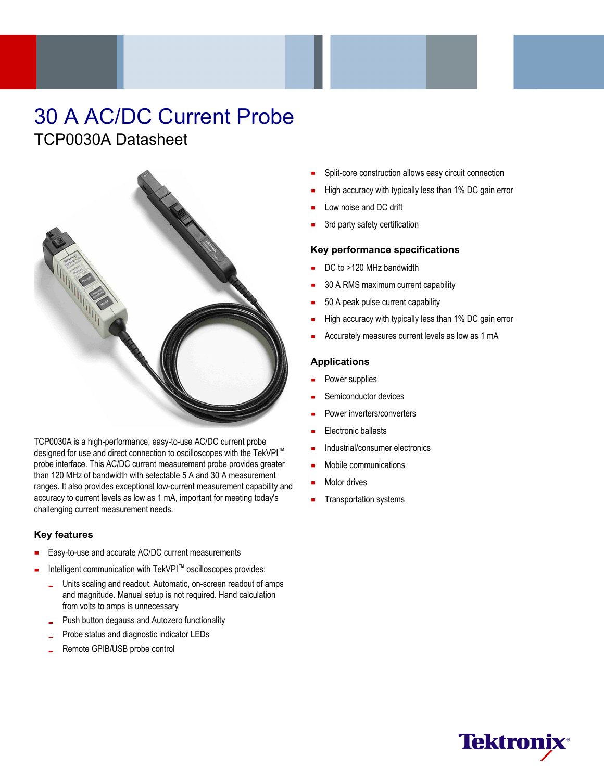# 30 A AC/DC Current Probe TCP0030A Datasheet



TCP0030A is a high-performance, easy-to-use AC/DC current probe designed for use and direct connection to oscilloscopes with the TekVPI<sup>™</sup> probe interface. This AC/DC current measurement probe provides greater than 120 MHz of bandwidth with selectable 5 A and 30 A measurement ranges. It also provides exceptional low-current measurement capability and accuracy to current levels as low as 1 mA, important for meeting today's challenging current measurement needs.

### **Key features**

- Easy-to-use and accurate AC/DC current measurements
- Intelligent communication with TekVPI™ oscilloscopes provides:
	- Units scaling and readout. Automatic, on-screen readout of amps  $\frac{1}{2}$ and magnitude. Manual setup is not required. Hand calculation from volts to amps is unnecessary
	- Push button degauss and Autozero functionality
	- Probe status and diagnostic indicator LEDs
	- Remote GPIB/USB probe control
- Split-core construction allows easy circuit connection
- High accuracy with typically less than 1% DC gain error
- Low noise and DC drift
- 3rd party safety certification

#### **Key performance specifications**

- DC to >120 MHz bandwidth
- 30 A RMS maximum current capability
- 50 A peak pulse current capability
- High accuracy with typically less than 1% DC gain error
- Accurately measures current levels as low as 1 mA

#### **Applications**

- Power supplies
- Semiconductor devices
- Power inverters/converters
- Electronic ballasts
- Industrial/consumer electronics
- Mobile communications
- Motor drives
- Transportation systems

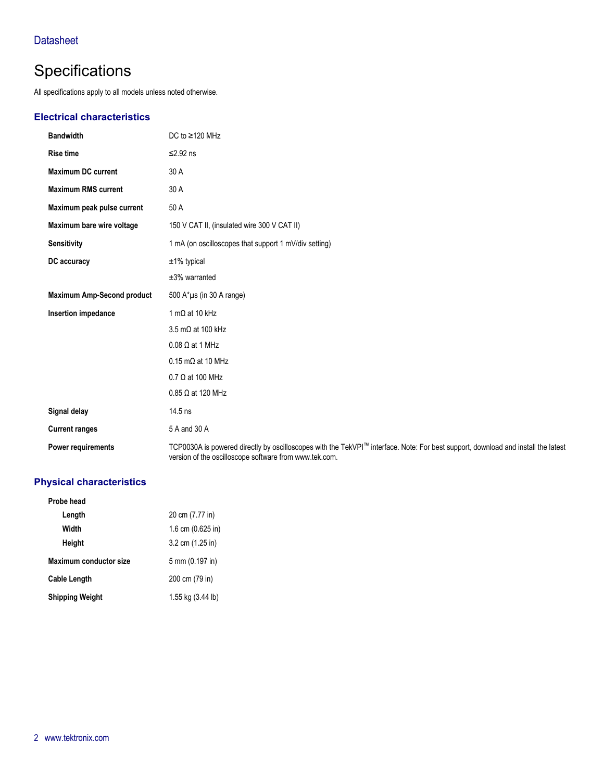# **Specifications**

All specifications apply to all models unless noted otherwise.

### **Electrical characteristics**

| <b>Bandwidth</b>                  | DC to $\geq$ 120 MHz                                                                                                                                                                        |
|-----------------------------------|---------------------------------------------------------------------------------------------------------------------------------------------------------------------------------------------|
| <b>Rise time</b>                  | $≤2.92$ ns                                                                                                                                                                                  |
| <b>Maximum DC current</b>         | 30 A                                                                                                                                                                                        |
| <b>Maximum RMS current</b>        | 30 A                                                                                                                                                                                        |
| Maximum peak pulse current        | 50 A                                                                                                                                                                                        |
| Maximum bare wire voltage         | 150 V CAT II, (insulated wire 300 V CAT II)                                                                                                                                                 |
| <b>Sensitivity</b>                | 1 mA (on oscilloscopes that support 1 mV/div setting)                                                                                                                                       |
| DC accuracy                       | $±1\%$ typical                                                                                                                                                                              |
|                                   | $±3%$ warranted                                                                                                                                                                             |
| <b>Maximum Amp-Second product</b> | 500 $A^* \mu s$ (in 30 A range)                                                                                                                                                             |
| Insertion impedance               | 1 m $\Omega$ at 10 kHz                                                                                                                                                                      |
|                                   | 3.5 mΩ at 100 kHz                                                                                                                                                                           |
|                                   | $0.08 \Omega$ at 1 MHz                                                                                                                                                                      |
|                                   | $0.15 \text{ m}\Omega$ at 10 MHz                                                                                                                                                            |
|                                   | $0.7 \Omega$ at 100 MHz                                                                                                                                                                     |
|                                   | $0.85 \Omega$ at 120 MHz                                                                                                                                                                    |
| Signal delay                      | 14.5 ns                                                                                                                                                                                     |
| <b>Current ranges</b>             | 5 A and 30 A                                                                                                                                                                                |
| <b>Power requirements</b>         | TCP0030A is powered directly by oscilloscopes with the TekVPI™ interface. Note: For best support, download and install the latest<br>version of the oscilloscope software from www.tek.com. |

### **Physical characteristics**

| Probe head             |                     |
|------------------------|---------------------|
| Length                 | 20 cm (7.77 in)     |
| Width                  | 1.6 cm $(0.625)$ in |
| Height                 | 3.2 cm (1.25 in)    |
| Maximum conductor size | 5 mm (0.197 in)     |
| <b>Cable Length</b>    | 200 cm (79 in)      |
| <b>Shipping Weight</b> | 1.55 kg (3.44 lb)   |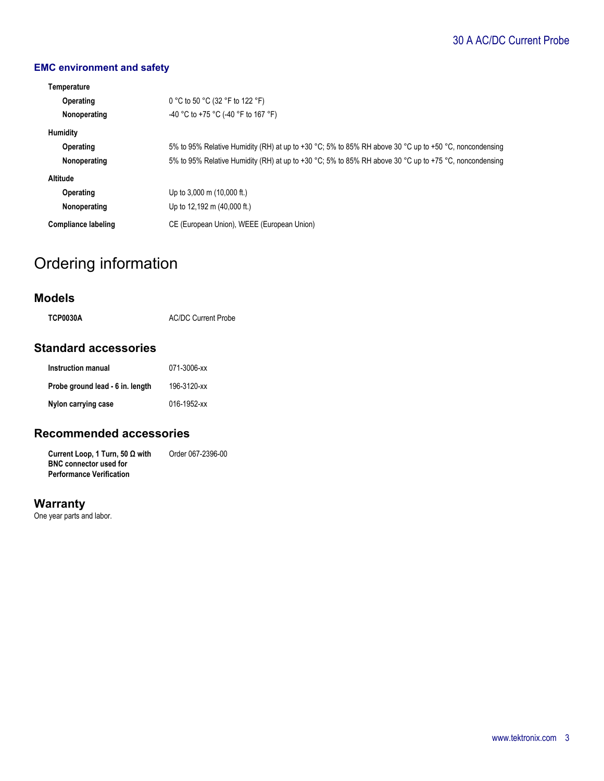# 30 A AC/DC Current Probe

### **EMC environment and safety**

| Temperature         |                                                                                                        |  |  |
|---------------------|--------------------------------------------------------------------------------------------------------|--|--|
| Operating           | 0 °C to 50 °C (32 °F to 122 °F)                                                                        |  |  |
| Nonoperating        | -40 °C to +75 °C (-40 °F to 167 °F)                                                                    |  |  |
| <b>Humidity</b>     |                                                                                                        |  |  |
| Operating           | 5% to 95% Relative Humidity (RH) at up to +30 °C; 5% to 85% RH above 30 °C up to +50 °C, noncondensing |  |  |
| Nonoperating        | 5% to 95% Relative Humidity (RH) at up to +30 °C; 5% to 85% RH above 30 °C up to +75 °C, noncondensing |  |  |
| Altitude            |                                                                                                        |  |  |
| Operating           | Up to 3,000 m $(10,000 \text{ ft.})$                                                                   |  |  |
| Nonoperating        | Up to 12,192 m (40,000 ft.)                                                                            |  |  |
| Compliance labeling | CE (European Union), WEEE (European Union)                                                             |  |  |

# Ordering information

### **Models**

| <b>TCP0030A</b> | <b>AC/DC Current Probe</b> |
|-----------------|----------------------------|
|                 |                            |

## **Standard accessories**

| Instruction manual               | 071-3006-xx |
|----------------------------------|-------------|
| Probe ground lead - 6 in. length | 196-3120-xx |
| Nylon carrying case              | 016-1952-xx |

## **Recommended accessories**

**Current Loop, 1 Turn, 50 Ω with BNC connector used for Performance Verification** Order 067-2396-00

## **Warranty**

One year parts and labor.